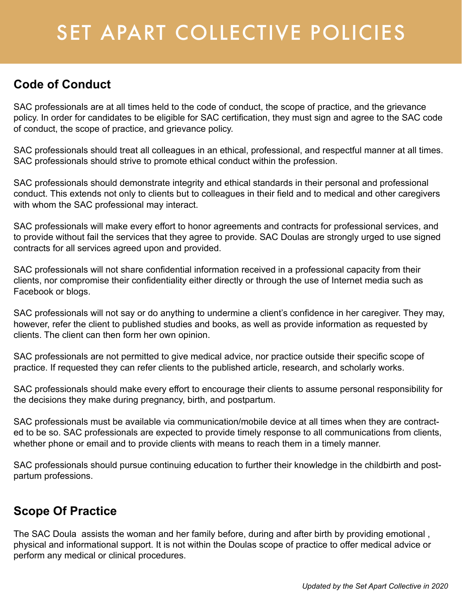### **Code of Conduct**

SAC professionals are at all times held to the code of conduct, the scope of practice, and the grievance policy. In order for candidates to be eligible for SAC certification, they must sign and agree to the SAC code of conduct, the scope of practice, and grievance policy.

SAC professionals should treat all colleagues in an ethical, professional, and respectful manner at all times. SAC professionals should strive to promote ethical conduct within the profession.

SAC professionals should demonstrate integrity and ethical standards in their personal and professional conduct. This extends not only to clients but to colleagues in their field and to medical and other caregivers with whom the SAC professional may interact.

SAC professionals will make every effort to honor agreements and contracts for professional services, and to provide without fail the services that they agree to provide. SAC Doulas are strongly urged to use signed contracts for all services agreed upon and provided.

SAC professionals will not share confidential information received in a professional capacity from their clients, nor compromise their confidentiality either directly or through the use of Internet media such as Facebook or blogs.

SAC professionals will not say or do anything to undermine a client's confidence in her caregiver. They may, however, refer the client to published studies and books, as well as provide information as requested by clients. The client can then form her own opinion.

SAC professionals are not permitted to give medical advice, nor practice outside their specific scope of practice. If requested they can refer clients to the published article, research, and scholarly works.

SAC professionals should make every effort to encourage their clients to assume personal responsibility for the decisions they make during pregnancy, birth, and postpartum.

SAC professionals must be available via communication/mobile device at all times when they are contracted to be so. SAC professionals are expected to provide timely response to all communications from clients, whether phone or email and to provide clients with means to reach them in a timely manner.

SAC professionals should pursue continuing education to further their knowledge in the childbirth and postpartum professions.

### **Scope Of Practice**

The SAC Doula assists the woman and her family before, during and after birth by providing emotional , physical and informational support. It is not within the Doulas scope of practice to offer medical advice or perform any medical or clinical procedures.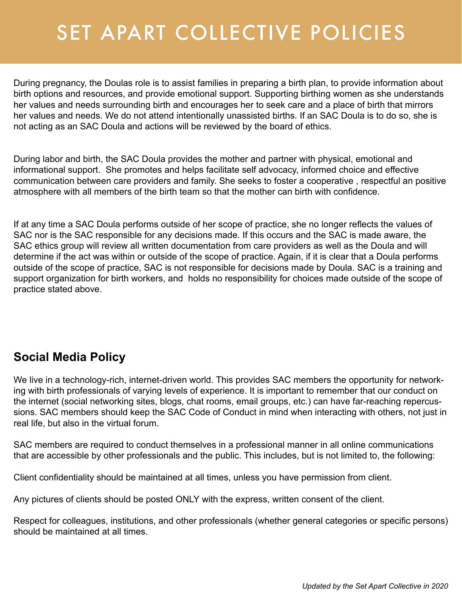During pregnancy, the Doulas role is to assist families in preparing a birth plan, to provide information about birth options and resources, and provide emotional support. Supporting birthing women as she understands her values and needs surrounding birth and encourages her to seek care and a place of birth that mirrors her values and needs. We do not attend intentionally unassisted births. If an SAC Doula is to do so, she is not acting as an SAC Doula and actions will be reviewed by the board of ethics.

During labor and birth, the SAC Doula provides the mother and partner with physical, emotional and informational support. She promotes and helps facilitate self advocacy, informed choice and effective communication between care providers and family. She seeks to foster a cooperative , respectful an positive atmosphere with all members of the birth team so that the mother can birth with confidence.

If at any time a SAC Doula performs outside of her scope of practice, she no longer reflects the values of SAC nor is the SAC responsible for any decisions made. If this occurs and the SAC is made aware, the SAC ethics group will review all written documentation from care providers as well as the Doula and will determine if the act was within or outside of the scope of practice. Again, if it is clear that a Doula performs outside of the scope of practice, SAC is not responsible for decisions made by Doula. SAC is a training and support organization for birth workers, and holds no responsibility for choices made outside of the scope of practice stated above.

### **Social Media Policy**

We live in a technology-rich, internet-driven world. This provides SAC members the opportunity for networking with birth professionals of varying levels of experience. It is important to remember that our conduct on the internet (social networking sites, blogs, chat rooms, email groups, etc.) can have far-reaching repercussions. SAC members should keep the SAC Code of Conduct in mind when interacting with others, not just in real life, but also in the virtual forum.

SAC members are required to conduct themselves in a professional manner in all online communications that are accessible by other professionals and the public. This includes, but is not limited to, the following:

Client confidentiality should be maintained at all times, unless you have permission from client.

Any pictures of clients should be posted ONLY with the express, written consent of the client.

Respect for colleagues, institutions, and other professionals (whether general categories or specific persons) should be maintained at all times.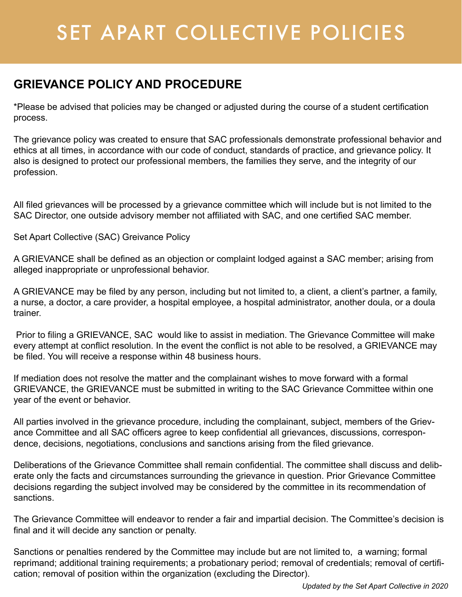### **GRIEVANCE POLICY AND PROCEDURE**

\*Please be advised that policies may be changed or adjusted during the course of a student certification process.

The grievance policy was created to ensure that SAC professionals demonstrate professional behavior and ethics at all times, in accordance with our code of conduct, standards of practice, and grievance policy. It also is designed to protect our professional members, the families they serve, and the integrity of our profession.

All filed grievances will be processed by a grievance committee which will include but is not limited to the SAC Director, one outside advisory member not affiliated with SAC, and one certified SAC member.

Set Apart Collective (SAC) Greivance Policy

A GRIEVANCE shall be defined as an objection or complaint lodged against a SAC member; arising from alleged inappropriate or unprofessional behavior.

A GRIEVANCE may be filed by any person, including but not limited to, a client, a client's partner, a family, a nurse, a doctor, a care provider, a hospital employee, a hospital administrator, another doula, or a doula trainer.

 Prior to filing a GRIEVANCE, SAC would like to assist in mediation. The Grievance Committee will make every attempt at conflict resolution. In the event the conflict is not able to be resolved, a GRIEVANCE may be filed. You will receive a response within 48 business hours.

If mediation does not resolve the matter and the complainant wishes to move forward with a formal GRIEVANCE, the GRIEVANCE must be submitted in writing to the SAC Grievance Committee within one year of the event or behavior.

All parties involved in the grievance procedure, including the complainant, subject, members of the Grievance Committee and all SAC officers agree to keep confidential all grievances, discussions, correspondence, decisions, negotiations, conclusions and sanctions arising from the filed grievance.

Deliberations of the Grievance Committee shall remain confidential. The committee shall discuss and deliberate only the facts and circumstances surrounding the grievance in question. Prior Grievance Committee decisions regarding the subject involved may be considered by the committee in its recommendation of sanctions.

The Grievance Committee will endeavor to render a fair and impartial decision. The Committee's decision is final and it will decide any sanction or penalty.

Sanctions or penalties rendered by the Committee may include but are not limited to, a warning; formal reprimand; additional training requirements; a probationary period; removal of credentials; removal of certification; removal of position within the organization (excluding the Director).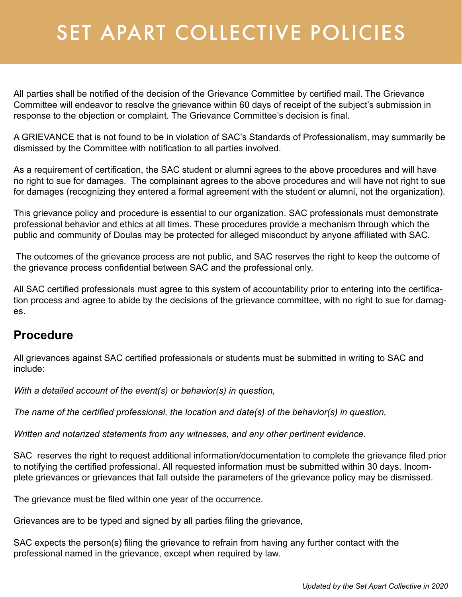All parties shall be notified of the decision of the Grievance Committee by certified mail. The Grievance Committee will endeavor to resolve the grievance within 60 days of receipt of the subject's submission in response to the objection or complaint. The Grievance Committee's decision is final.

A GRIEVANCE that is not found to be in violation of SAC's Standards of Professionalism, may summarily be dismissed by the Committee with notification to all parties involved.

As a requirement of certification, the SAC student or alumni agrees to the above procedures and will have no right to sue for damages. The complainant agrees to the above procedures and will have not right to sue for damages (recognizing they entered a formal agreement with the student or alumni, not the organization).

This grievance policy and procedure is essential to our organization. SAC professionals must demonstrate professional behavior and ethics at all times. These procedures provide a mechanism through which the public and community of Doulas may be protected for alleged misconduct by anyone affiliated with SAC.

 The outcomes of the grievance process are not public, and SAC reserves the right to keep the outcome of the grievance process confidential between SAC and the professional only.

All SAC certified professionals must agree to this system of accountability prior to entering into the certification process and agree to abide by the decisions of the grievance committee, with no right to sue for damages.

#### **Procedure**

All grievances against SAC certified professionals or students must be submitted in writing to SAC and include:

*With a detailed account of the event(s) or behavior(s) in question,*

*The name of the certified professional, the location and date(s) of the behavior(s) in question,*

*Written and notarized statements from any witnesses, and any other pertinent evidence.*

SAC reserves the right to request additional information/documentation to complete the grievance filed prior to notifying the certified professional. All requested information must be submitted within 30 days. Incomplete grievances or grievances that fall outside the parameters of the grievance policy may be dismissed.

The grievance must be filed within one year of the occurrence.

Grievances are to be typed and signed by all parties filing the grievance,

SAC expects the person(s) filing the grievance to refrain from having any further contact with the professional named in the grievance, except when required by law.